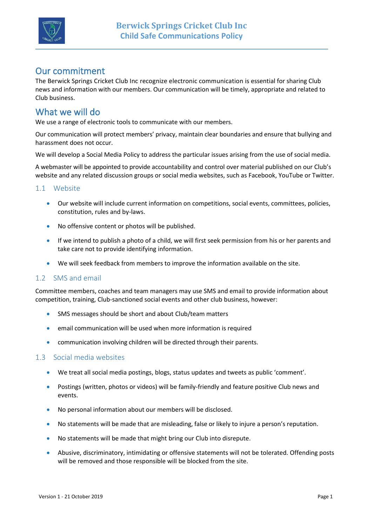

# Our commitment

The Berwick Springs Cricket Club Inc recognize electronic communication is essential for sharing Club news and information with our members. Our communication will be timely, appropriate and related to Club business.

### What we will do

We use a range of electronic tools to communicate with our members.

Our communication will protect members' privacy, maintain clear boundaries and ensure that bullying and harassment does not occur.

We will develop a Social Media Policy to address the particular issues arising from the use of social media.

A webmaster will be appointed to provide accountability and control over material published on our Club's website and any related discussion groups or social media websites, such as Facebook, YouTube or Twitter.

#### 1.1 Website

- Our website will include current information on competitions, social events, committees, policies, constitution, rules and by-laws.
- No offensive content or photos will be published.
- If we intend to publish a photo of a child, we will first seek permission from his or her parents and take care not to provide identifying information.
- We will seek feedback from members to improve the information available on the site.

### 1.2 SMS and email

Committee members, coaches and team managers may use SMS and email to provide information about competition, training, Club-sanctioned social events and other club business, however:

- SMS messages should be short and about Club/team matters
- email communication will be used when more information is required
- communication involving children will be directed through their parents.

#### 1.3 Social media websites

- We treat all social media postings, blogs, status updates and tweets as public 'comment'.
- Postings (written, photos or videos) will be family-friendly and feature positive Club news and events.
- No personal information about our members will be disclosed.
- No statements will be made that are misleading, false or likely to injure a person's reputation.
- No statements will be made that might bring our Club into disrepute.
- Abusive, discriminatory, intimidating or offensive statements will not be tolerated. Offending posts will be removed and those responsible will be blocked from the site.